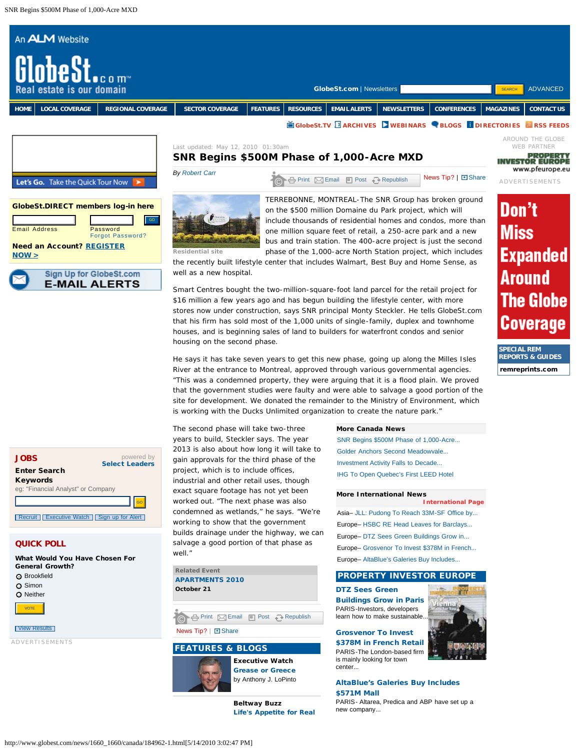

houses, and is beginning sales of land to builders for waterfront condos and senior

is working with the Ducks Unlimited organization to create the nature park."

He says it has take seven years to get this new phase, going up along the Milles Isles River at the entrance to Montreal, approved through various governmental agencies. "This was a condemned property, they were arguing that it is a flood plain. We proved that the government studies were faulty and were able to salvage a good portion of the site for development. We donated the remainder to the Ministry of Environment, which

powered by [Select Leaders](http://www.selectleaders.com/careers/index.cfm?part=GST) JOBS Enter Search Keywords eg: "Financial Analyst" or Company [Recruit](http://www.selectleaders.com/careers/index.cfm?part=GST) [Executive Watch](http://www.globest.com/executivewatch/) | [Sign up for Alert](http://www.globest.com/profile)

# QUICK POLL

What Would You Have Chosen For General Growth? **O** Brookfield O Simon **O** Neither **[View Results](http://www.globest.com/polls/index.html)** ADVERTISEMENTS VOTE

The second phase will take two-three years to build, Steckler says. The year 2013 is also about how long it will take to gain approvals for the third phase of the project, which is to include offices, industrial and other retail uses, though exact square footage has not yet been worked out. "The next phase was also condemned as wetlands," he says. "We're working to show that the government builds drainage under the highway, we can salvage a good portion of that phase as well."

housing on the second phase.

**Related Event [APARTMENTS 2010](http://www.globest.com/alm?rsapartments10&kw=globestnav) October 21**

**[Print](http://license.icopyright.net/rights/printServiceGroup.act?tag=3.8454?icx_id=/news/1660_1660/canada/184962-1.html) [Email](http://license.icopyright.net/rights/emailServiceGroup.act?tag=3.8454?icx_id=/news/1660_1660/canada/184962-1.html) [Post](http://license.icopyright.net/rights/postServiceGroup.act?tag=3.8454?icx_id=/news/1660_1660/canada/184962-1.html) [Republish](http://license.icopyright.net/rights/republishServiceGroup.act?tag=3.8454?icx_id=/news/1660_1660/canada/184962-1.html)** 

# News Tip? | El [Share](http://www.addthis.com/bookmark.php)

# FEATURES & BLOGS



[Grease or Greece](http://www.globest.com/executivewatch/1_323/184944-1.html) by Anthony J. LoPinto

**Beltway Buzz** [Life's Appetite for Real](http://globestbeltwaybuzz.wordpress.com/2010/05/10/lifes-appetite-for-real-estate-cmbs-grows/)

## **More Canada News**

[SNR Begins \\$500M Phase of 1,000-Acre...](http://www.globest.com/news/1660_1660/canada/184962-1.html?st=rss) [Golder Anchors Second Meadowvale...](http://www.globest.com/news/1626_1626/canada/184134-1.html?st=rss) [Investment Activity Falls to Decade...](http://www.globest.com/news/1606_1606/canada/183712-1.html?st=rss) [IHG To Open Quebec's First LEED Hotel](http://www.globest.com/news/1591_1591/canada/183367-1.html?st=rss)

**SPECIAL REM REPORTS & GUIDES** [remreprints.com](http://www.remreprints.com/)

#### **More International News**

Asia– [JLL: Pudong To Reach 33M-SF Office by...](http://www.globest.com/news/1662_1662/asia/185008-1.html) Europe– [HSBC RE Head Leaves for Barclays...](http://www.globest.com/news/1662_1662/europe/185007-1.html) Europe– [DTZ Sees Green Buildings Grow in...](http://www.globest.com/news/1662_1662/europe/185019-1.html) Europe– [Grosvenor To Invest \\$378M in French...](http://www.globest.com/news/1661_1661/europe/184994-1.html) Europe– [AltaBlue's Galeries Buy Includes...](http://www.globest.com/news/1660_1660/europe/184970-1.html) **[International Page](http://www.globest.com/news/international/)**

## PROPERTY INVESTOR EUROPE

uanna.

[DTZ Sees Green](http://www.globest.com/news/1662_1662/europe/185019-1.html) [Buildings Grow in Paris](http://www.globest.com/news/1662_1662/europe/185019-1.html) PARIS-Investors, developers learn how to make sustainable[.](http://www.pfeurope.eu/)

## [Grosvenor To Invest](http://www.globest.com/news/1661_1661/europe/184994-1.html)

[\\$378M in French Retail](http://www.globest.com/news/1661_1661/europe/184994-1.html) PARIS-The London-based firm is mainly looking for town center...

# [AltaBlue's Galeries Buy Includes](http://www.globest.com/news/1660_1660/europe/184970-1.html) [\\$571M Mall](http://www.globest.com/news/1660_1660/europe/184970-1.html)

PARIS- Altarea, Predica and ABP have set up a new company...

## http://www.globest.com/news/1660\_1660/canada/184962-1.html[5/14/2010 3:02:47 PM]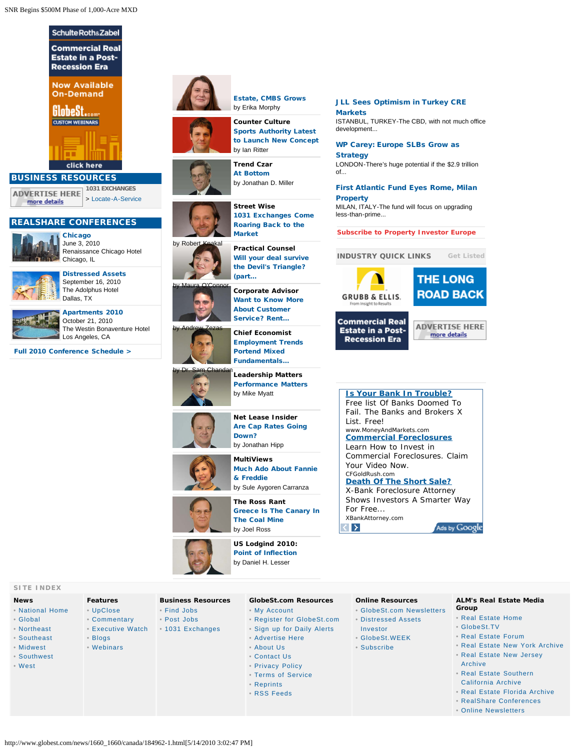

- [Global](http://www.globest.com/news/international) • [Northeast](http://www.globest.com/news/northeast)
- [Southeast](http://www.globest.com/news/southeast)
- [Midwest](http://www.globest.com/news/midwest)
- [Southwest](http://www.globest.com/news/southwest)
- [West](http://www.globest.com/news/west)

- [Commentary](http://www.globest.com/commentary/) • [Executive Watch](http://www.globest.com/executivewatch/)
	-
- 
- [1031 Exchanges](http://www.globest.com/exchanges/)
- **Business Resources**
- [UpClose](http://www.globest.com/upclose/)
	-
- [Blogs](http://www.globest.com/blogs/) • [Webinars](http://www.globest.com/webinars/)



[Estate, CMBS Grows](http://globestbeltwaybuzz.wordpress.com/2010/05/10/lifes-appetite-for-real-estate-cmbs-grows/) by Erika Morphy



**Street Wise**

**Trend Czar** [At Bottom](http://trendczar.typepad.com/blog/2010/05/at-bottom.html) by Jonathan D. Miller



[Market](http://knakalstreetwise.wordpress.com/2010/05/09/1031-exchanges-come-roaring-back-to-the-market/) by Robert Knakal **Practical Counsel** [Will your deal survive](http://practicalcounsel.wordpress.com/2010/05/03/will-your-deal-survive-the-devils-triangle-part-4-of-bank-failure-series/) [the Devil's Triangle?](http://practicalcounsel.wordpress.com/2010/05/03/will-your-deal-survive-the-devils-triangle-part-4-of-bank-failure-series/) [\(part...](http://practicalcounsel.wordpress.com/2010/05/03/will-your-deal-survive-the-devils-triangle-part-4-of-bank-failure-series/)

[1031 Exchanges Come](http://knakalstreetwise.wordpress.com/2010/05/09/1031-exchanges-come-roaring-back-to-the-market/) [Roaring Back to the](http://knakalstreetwise.wordpress.com/2010/05/09/1031-exchanges-come-roaring-back-to-the-market/)



[About Customer](http://corporateadvisor.wordpress.com/2010/05/12/wanna-learn-about-customer-service-rent-a-car/) [Service? Rent...](http://corporateadvisor.wordpress.com/2010/05/12/wanna-learn-about-customer-service-rent-a-car/) **Chief Economist** [Employment Trends](http://chandan.com/globest/?p=403)

**Corporate Advisor** [Want to Know More](http://corporateadvisor.wordpress.com/2010/05/12/wanna-learn-about-customer-service-rent-a-car/)



**Leadership Matters** [Performance Matters](http://myattleadershipmatters.wordpress.com/2010/04/30/performance-matters/) by Mike Myatt



**MultiViews** [Much Ado About Fannie](http://globestmultiviews.wordpress.com/2010/05/14/much-ado-about-fannie-freddie/) [& Freddie](http://globestmultiviews.wordpress.com/2010/05/14/much-ado-about-fannie-freddie/) by Sule Aygoren Carranza

**The Ross Rant** [Greece Is The Canary In](http://rossrant.wordpress.com/2010/05/11/greece-is-the-canary-in-the-coal-mine/) [The Coal Mine](http://rossrant.wordpress.com/2010/05/11/greece-is-the-canary-in-the-coal-mine/) by Joel Ross



• [Find Jobs](http://www.selectleaders.com/users/userlogin.cfm?part=gst) • [Post Jobs](http://www.selectleaders.com/users/userlogin.cfm?part=gst) **US Lodgind 2010:** Point of Inflection by Daniel H. Lesser

## **GlobeSt.com Resources**

- [My Account](http://www.globest.com/profile)
- [Register for GlobeSt.com](http://www.globest.com/cgi-bin/udt/um.register.account?client_id=globest)
	- [Sign up for Daily Alerts](http://www.globest.com/profile)
	- [Advertise Here](http://www.globest.com/aboutus/adinfo.html)
	- [About Us](http://www.globest.com/aboutus)
	- [Contact Us](http://www.globest.com/contactus)
	- [Privacy Policy](http://www.globest.com/aboutus/privacy.html)
	- [Terms of Service](http://www.globest.com/aboutus/termsofservice.html)
	- [Reprints](http://www.remreprints.com/)
	- [RSS Feeds](http://www.globest.com/aboutus/rss.html)

# **Online Resources**

- [GlobeSt.com Newsletters](http://newsletters.globest.com/)
- [Distressed Assets](http://www.globest.com/dai)
- [Investor](http://www.globest.com/dai)
- [GlobeSt.WEEK](http://www.globest.com/newsletters/gsw.html)
- [Subscribe](http://newsletters.globest.com/)
- [Real Estate New Jersey](http://www.renj-digital.com/) [Archive](http://www.renj-digital.com/)

**Group**

- [Real Estate Southern](http://www.reforum-digital.com/reforum/20091112#pg76/) [California Archive](http://www.reforum-digital.com/reforum/20091112#pg76/)
- [Real Estate Florida Archive](http://www.refla-digital.com/)

• [Real Estate New York Archive](http://www.reny-digital.com/)

**ALM's Real Estate Media**

• [Real Estate Home](http://www.almrealestatemediagroup.com/) • [GlobeSt.TV](http://www.globest.tv/) • [Real Estate Forum](http://www.reforum-digital.com/)

- [RealShare Conferences](http://www.realshareconferences.com/)
- [Online Newsletters](http://newsletters.globest.com/)

http://www.globest.com/news/1660\_1660/canada/184962-1.html[5/14/2010 3:02:47 PM]

[JLL Sees Optimism in Turkey CRE](http://www.globest.com/news/1659_1659/europe/184951-1.html) **[Markets](http://www.globest.com/news/1659_1659/europe/184951-1.html)** 

ISTANBUL, TURKEY-The CBD, with not much office development...

[WP Carey: Europe SLBs Grow as](http://www.globest.com/news/1658_1658/europe/184917-1.html) **[Strategy](http://www.globest.com/news/1658_1658/europe/184917-1.html)** 

LONDON-There's huge potential if the \$2.9 trillion of...

# [First Atlantic Fund Eyes Rome, Milan](http://www.globest.com/news/1657_1657/europe/184900-1.html) **[Property](http://www.globest.com/news/1657_1657/europe/184900-1.html)**

MILAN, ITALY-The fund will focus on upgrading less-than-prime...

**[Subscribe to Property Investor Europe](http://www.pfeurope.eu/no_cache/subscribe/subscribe-form.html)**